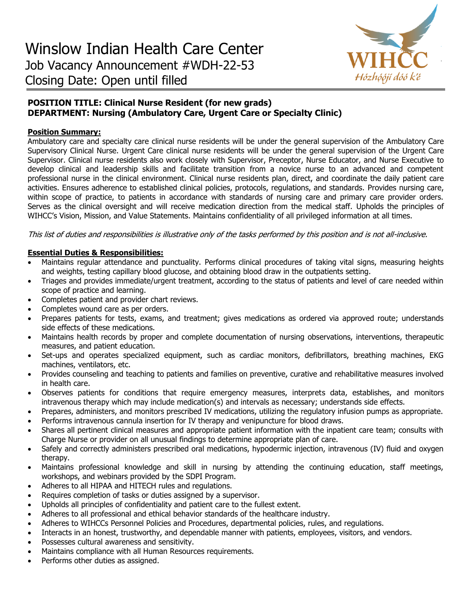

# **POSITION TITLE: Clinical Nurse Resident (for new grads) DEPARTMENT: Nursing (Ambulatory Care, Urgent Care or Specialty Clinic)**

# **Position Summary:**

Ambulatory care and specialty care clinical nurse residents will be under the general supervision of the Ambulatory Care Supervisory Clinical Nurse. Urgent Care clinical nurse residents will be under the general supervision of the Urgent Care Supervisor. Clinical nurse residents also work closely with Supervisor, Preceptor, Nurse Educator, and Nurse Executive to develop clinical and leadership skills and facilitate transition from a novice nurse to an advanced and competent professional nurse in the clinical environment. Clinical nurse residents plan, direct, and coordinate the daily patient care activities. Ensures adherence to established clinical policies, protocols, regulations, and standards. Provides nursing care, within scope of practice, to patients in accordance with standards of nursing care and primary care provider orders. Serves as the clinical oversight and will receive medication direction from the medical staff. Upholds the principles of WIHCC's Vision, Mission, and Value Statements. Maintains confidentiality of all privileged information at all times.

This list of duties and responsibilities is illustrative only of the tasks performed by this position and is not all-inclusive.

### **Essential Duties & Responsibilities:**

- Maintains regular attendance and punctuality. Performs clinical procedures of taking vital signs, measuring heights and weights, testing capillary blood glucose, and obtaining blood draw in the outpatients setting.
- Triages and provides immediate/urgent treatment, according to the status of patients and level of care needed within scope of practice and learning.
- Completes patient and provider chart reviews.
- Completes wound care as per orders.
- Prepares patients for tests, exams, and treatment; gives medications as ordered via approved route; understands side effects of these medications.
- Maintains health records by proper and complete documentation of nursing observations, interventions, therapeutic measures, and patient education.
- Set-ups and operates specialized equipment, such as cardiac monitors, defibrillators, breathing machines, EKG machines, ventilators, etc.
- Provides counseling and teaching to patients and families on preventive, curative and rehabilitative measures involved in health care.
- Observes patients for conditions that require emergency measures, interprets data, establishes, and monitors intravenous therapy which may include medication(s) and intervals as necessary; understands side effects.
- Prepares, administers, and monitors prescribed IV medications, utilizing the regulatory infusion pumps as appropriate.
- Performs intravenous cannula insertion for IV therapy and venipuncture for blood draws.
- Shares all pertinent clinical measures and appropriate patient information with the inpatient care team; consults with Charge Nurse or provider on all unusual findings to determine appropriate plan of care.
- Safely and correctly administers prescribed oral medications, hypodermic injection, intravenous (IV) fluid and oxygen therapy.
- Maintains professional knowledge and skill in nursing by attending the continuing education, staff meetings, workshops, and webinars provided by the SDPI Program.
- Adheres to all HIPAA and HITECH rules and regulations.
- Requires completion of tasks or duties assigned by a supervisor.
- Upholds all principles of confidentiality and patient care to the fullest extent.
- Adheres to all professional and ethical behavior standards of the healthcare industry.
- Adheres to WIHCCs Personnel Policies and Procedures, departmental policies, rules, and regulations.
- Interacts in an honest, trustworthy, and dependable manner with patients, employees, visitors, and vendors.
- Possesses cultural awareness and sensitivity.
- Maintains compliance with all Human Resources requirements.
- Performs other duties as assigned.